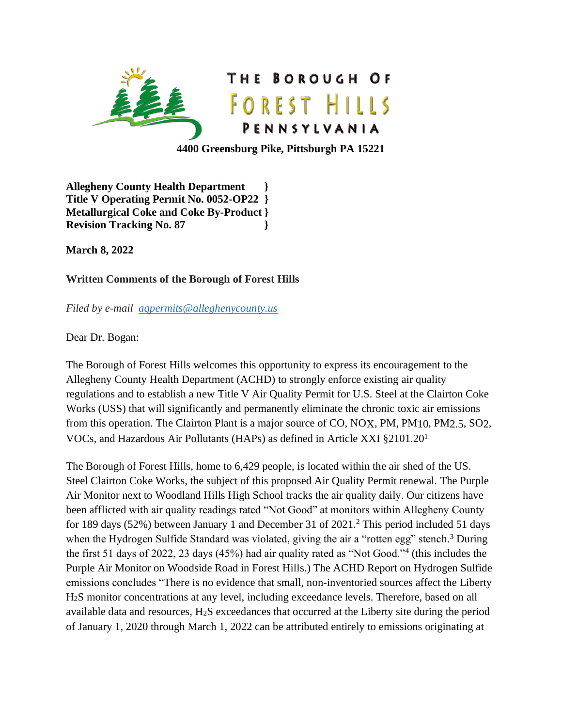

**4400 Greensburg Pike, Pittsburgh PA 15221**

**Allegheny County Health Department } Title V Operating Permit No. 0052-OP22 } Metallurgical Coke and Coke By-Product } Revision Tracking No. 87 }**

**March 8, 2022**

## **Written Comments of the Borough of Forest Hills**

*Filed by e-mail [aqpermits@alleghenycounty.us](mailto:aqpermits@alleghenycounty.us)*

Dear Dr. Bogan:

The Borough of Forest Hills welcomes this opportunity to express its encouragement to the Allegheny County Health Department (ACHD) to strongly enforce existing air quality regulations and to establish a new Title V Air Quality Permit for U.S. Steel at the Clairton Coke Works (USS) that will significantly and permanently eliminate the chronic toxic air emissions from this operation. The Clairton Plant is a major source of CO, NOX, PM, PM10, PM2.5, SO2, VOCs, and Hazardous Air Pollutants (HAPs) as defined in Article XXI §2101.20<sup>1</sup>

The Borough of Forest Hills, home to 6,429 people, is located within the air shed of the US. Steel Clairton Coke Works, the subject of this proposed Air Quality Permit renewal. The Purple Air Monitor next to Woodland Hills High School tracks the air quality daily. Our citizens have been afflicted with air quality readings rated "Not Good" at monitors within Allegheny County for 189 days (52%) between January 1 and December 31 of 2021.<sup>2</sup> This period included 51 days when the Hydrogen Sulfide Standard was violated, giving the air a "rotten egg" stench.<sup>3</sup> During the first 51 days of 2022, 23 days (45%) had air quality rated as "Not Good."<sup>4</sup> (this includes the Purple Air Monitor on Woodside Road in Forest Hills.) The ACHD Report on Hydrogen Sulfide emissions concludes "There is no evidence that small, non-inventoried sources affect the Liberty H2S monitor concentrations at any level, including exceedance levels. Therefore, based on all available data and resources, H2S exceedances that occurred at the Liberty site during the period of January 1, 2020 through March 1, 2022 can be attributed entirely to emissions originating at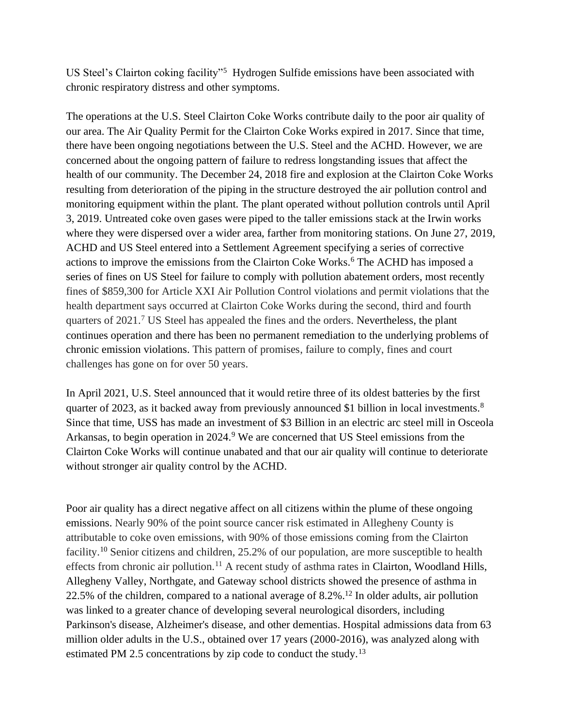US Steel's Clairton coking facility"<sup>5</sup> Hydrogen Sulfide emissions have been associated with chronic respiratory distress and other symptoms.

The operations at the U.S. Steel Clairton Coke Works contribute daily to the poor air quality of our area. The Air Quality Permit for the Clairton Coke Works expired in 2017. Since that time, there have been ongoing negotiations between the U.S. Steel and the ACHD. However, we are concerned about the ongoing pattern of failure to redress longstanding issues that affect the health of our community. The December 24, 2018 fire and explosion at the Clairton Coke Works resulting from deterioration of the piping in the structure destroyed the air pollution control and monitoring equipment within the plant. The plant operated without pollution controls until April 3, 2019. Untreated coke oven gases were piped to the taller emissions stack at the Irwin works where they were dispersed over a wider area, farther from monitoring stations. On June 27, 2019, ACHD and US Steel entered into a Settlement Agreement specifying a series of corrective actions to improve the emissions from the Clairton Coke Works.<sup>6</sup> The ACHD has imposed a series of fines on US Steel for failure to comply with pollution abatement orders, most recently fines of \$859,300 for Article XXI Air Pollution Control violations and permit violations that the health department says occurred at Clairton Coke Works during the second, third and fourth quarters of 2021.<sup>7</sup> US Steel has appealed the fines and the orders. Nevertheless, the plant continues operation and there has been no permanent remediation to the underlying problems of chronic emission violations. This pattern of promises, failure to comply, fines and court challenges has gone on for over 50 years.

In April 2021, U.S. Steel announced that it would retire three of its oldest batteries by the first quarter of 2023, as it backed away from previously announced \$1 billion in local investments.<sup>8</sup> Since that time, USS has made an investment of \$3 Billion in an electric arc steel mill in Osceola Arkansas, to begin operation in 2024.<sup>9</sup> We are concerned that US Steel emissions from the Clairton Coke Works will continue unabated and that our air quality will continue to deteriorate without stronger air quality control by the ACHD.

Poor air quality has a direct negative affect on all citizens within the plume of these ongoing emissions. Nearly 90% of the point source cancer risk estimated in Allegheny County is attributable to coke oven emissions, with 90% of those emissions coming from the Clairton facility.<sup>10</sup> Senior citizens and children, 25.2% of our population, are more susceptible to health effects from chronic air pollution.<sup>11</sup> A recent study of asthma rates in Clairton, Woodland Hills, Allegheny Valley, Northgate, and Gateway school districts showed the presence of asthma in 22.5% of the children, compared to a national average of 8.2%.<sup>12</sup> In older adults, air pollution was linked to a greater chance of developing several neurological disorders, including Parkinson's disease, Alzheimer's disease, and other dementias. Hospital admissions data from 63 million older adults in the U.S., obtained over 17 years (2000-2016), was analyzed along with estimated PM 2.5 concentrations by zip code to conduct the study.<sup>13</sup>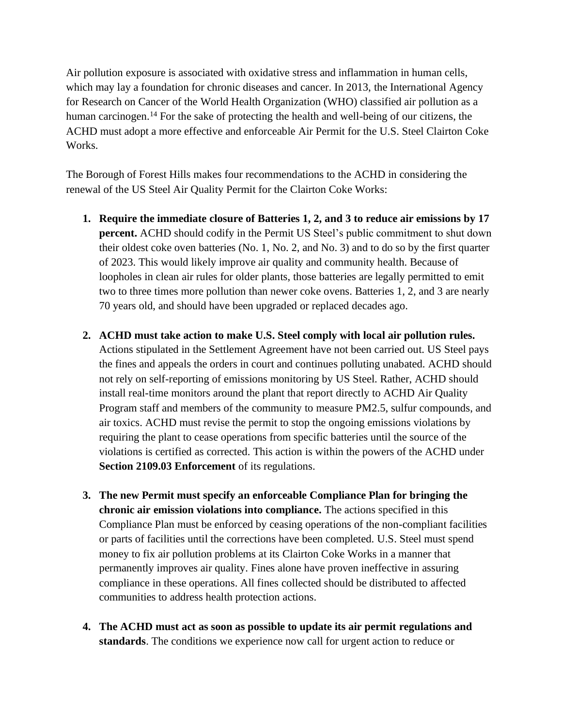Air pollution exposure is associated with oxidative stress and inflammation in human cells, which may lay a foundation for chronic diseases and cancer. In 2013, the International Agency for Research on Cancer of the World Health Organization (WHO) classified air pollution as a human carcinogen.<sup>14</sup> For the sake of protecting the health and well-being of our citizens, the ACHD must adopt a more effective and enforceable Air Permit for the U.S. Steel Clairton Coke Works.

The Borough of Forest Hills makes four recommendations to the ACHD in considering the renewal of the US Steel Air Quality Permit for the Clairton Coke Works:

- **1. Require the immediate closure of Batteries 1, 2, and 3 to reduce air emissions by 17 percent.** ACHD should codify in the Permit US Steel's public commitment to shut down their oldest coke oven batteries (No. 1, No. 2, and No. 3) and to do so by the first quarter of 2023. This would likely improve air quality and community health. Because of loopholes in clean air rules for older plants, those batteries are legally permitted to emit two to three times more pollution than newer coke ovens. Batteries 1, 2, and 3 are nearly 70 years old, and should have been upgraded or replaced decades ago.
- **2. ACHD must take action to make U.S. Steel comply with local air pollution rules.** Actions stipulated in the Settlement Agreement have not been carried out. US Steel pays the fines and appeals the orders in court and continues polluting unabated. ACHD should not rely on self-reporting of emissions monitoring by US Steel. Rather, ACHD should install real-time monitors around the plant that report directly to ACHD Air Quality Program staff and members of the community to measure PM2.5, sulfur compounds, and air toxics. ACHD must revise the permit to stop the ongoing emissions violations by requiring the plant to cease operations from specific batteries until the source of the violations is certified as corrected. This action is within the powers of the ACHD under **Section 2109.03 Enforcement** of its regulations.
- **3. The new Permit must specify an enforceable Compliance Plan for bringing the chronic air emission violations into compliance.** The actions specified in this Compliance Plan must be enforced by ceasing operations of the non-compliant facilities or parts of facilities until the corrections have been completed. U.S. Steel must spend money to fix air pollution problems at its Clairton Coke Works in a manner that permanently improves air quality. Fines alone have proven ineffective in assuring compliance in these operations. All fines collected should be distributed to affected communities to address health protection actions.
- **4. The ACHD must act as soon as possible to update its air permit regulations and standards**. The conditions we experience now call for urgent action to reduce or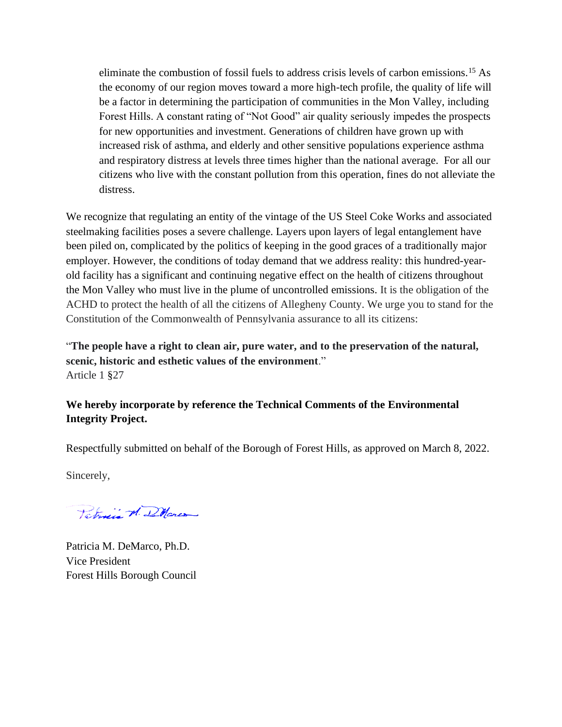eliminate the combustion of fossil fuels to address crisis levels of carbon emissions.<sup>15</sup> As the economy of our region moves toward a more high-tech profile, the quality of life will be a factor in determining the participation of communities in the Mon Valley, including Forest Hills. A constant rating of "Not Good" air quality seriously impedes the prospects for new opportunities and investment. Generations of children have grown up with increased risk of asthma, and elderly and other sensitive populations experience asthma and respiratory distress at levels three times higher than the national average. For all our citizens who live with the constant pollution from this operation, fines do not alleviate the distress.

We recognize that regulating an entity of the vintage of the US Steel Coke Works and associated steelmaking facilities poses a severe challenge. Layers upon layers of legal entanglement have been piled on, complicated by the politics of keeping in the good graces of a traditionally major employer. However, the conditions of today demand that we address reality: this hundred-yearold facility has a significant and continuing negative effect on the health of citizens throughout the Mon Valley who must live in the plume of uncontrolled emissions. It is the obligation of the ACHD to protect the health of all the citizens of Allegheny County. We urge you to stand for the Constitution of the Commonwealth of Pennsylvania assurance to all its citizens:

"**The people have a right to clean air, pure water, and to the preservation of the natural, scenic, historic and esthetic values of the environment**." Article 1 §27

## **We hereby incorporate by reference the Technical Comments of the Environmental Integrity Project.**

Respectfully submitted on behalf of the Borough of Forest Hills, as approved on March 8, 2022.

Sincerely,

Taterie M. DMarco

Patricia M. DeMarco, Ph.D. Vice President Forest Hills Borough Council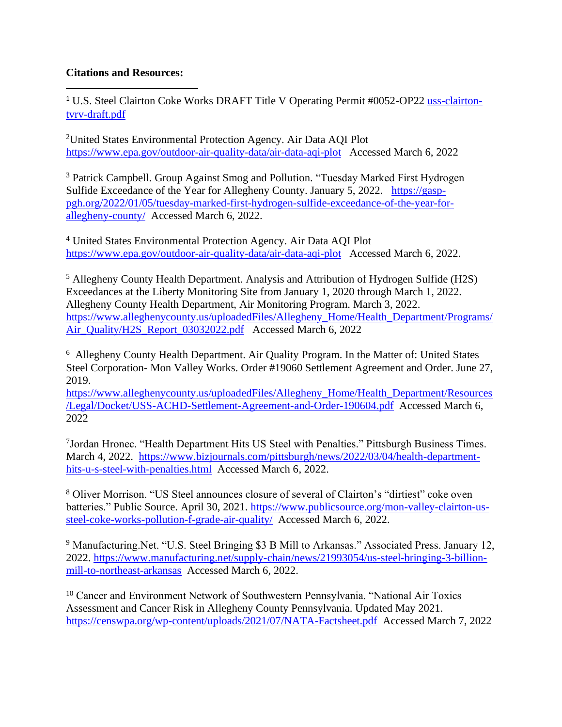## **Citations and Resources:**

<sup>1</sup> U.S. Steel Clairton Coke Works DRAFT Title V Operating Permit #0052-OP22 [uss-clairton](uss-clairton-tvop-draft.pdf)[tvrv-draft.pdf](uss-clairton-tvop-draft.pdf)

<sup>2</sup>United States Environmental Protection Agency. Air Data AQI Plot <https://www.epa.gov/outdoor-air-quality-data/air-data-aqi-plot> Accessed March 6, 2022

<sup>3</sup> Patrick Campbell. Group Against Smog and Pollution. "Tuesday Marked First Hydrogen Sulfide Exceedance of the Year for Allegheny County. January 5, 2022. [https://gasp](https://gasp-pgh.org/2022/01/05/tuesday-marked-first-hydrogen-sulfide-exceedance-of-the-year-for-allegheny-county/)[pgh.org/2022/01/05/tuesday-marked-first-hydrogen-sulfide-exceedance-of-the-year-for](https://gasp-pgh.org/2022/01/05/tuesday-marked-first-hydrogen-sulfide-exceedance-of-the-year-for-allegheny-county/)[allegheny-county/](https://gasp-pgh.org/2022/01/05/tuesday-marked-first-hydrogen-sulfide-exceedance-of-the-year-for-allegheny-county/) Accessed March 6, 2022.

<sup>4</sup> United States Environmental Protection Agency. Air Data AQI Plot <https://www.epa.gov/outdoor-air-quality-data/air-data-aqi-plot> Accessed March 6, 2022.

<sup>5</sup> Allegheny County Health Department. Analysis and Attribution of Hydrogen Sulfide (H2S) Exceedances at the Liberty Monitoring Site from January 1, 2020 through March 1, 2022. Allegheny County Health Department, Air Monitoring Program. March 3, 2022. [https://www.alleghenycounty.us/uploadedFiles/Allegheny\\_Home/Health\\_Department/Programs/](https://www.alleghenycounty.us/uploadedFiles/Allegheny_Home/Health_Department/Programs/Air_Quality/H2S_Report_03032022.pdf) [Air\\_Quality/H2S\\_Report\\_03032022.pdf](https://www.alleghenycounty.us/uploadedFiles/Allegheny_Home/Health_Department/Programs/Air_Quality/H2S_Report_03032022.pdf) Accessed March 6, 2022

<sup>6</sup> Allegheny County Health Department. Air Quality Program. In the Matter of: United States Steel Corporation- Mon Valley Works. Order #19060 Settlement Agreement and Order. June 27, 2019.

[https://www.alleghenycounty.us/uploadedFiles/Allegheny\\_Home/Health\\_Department/Resources](https://www.alleghenycounty.us/uploadedFiles/Allegheny_Home/Health_Department/Resources/Legal/Docket/USS-ACHD-Settlement-Agreement-and-Order-190604.pdf) [/Legal/Docket/USS-ACHD-Settlement-Agreement-and-Order-190604.pdf](https://www.alleghenycounty.us/uploadedFiles/Allegheny_Home/Health_Department/Resources/Legal/Docket/USS-ACHD-Settlement-Agreement-and-Order-190604.pdf) Accessed March 6, 2022

<sup>7</sup>Jordan Hronec. "Health Department Hits US Steel with Penalties." Pittsburgh Business Times. March 4, 2022. [https://www.bizjournals.com/pittsburgh/news/2022/03/04/health-department](https://www.bizjournals.com/pittsburgh/news/2022/03/04/health-department-hits-u-s-steel-with-penalties.html)[hits-u-s-steel-with-penalties.html](https://www.bizjournals.com/pittsburgh/news/2022/03/04/health-department-hits-u-s-steel-with-penalties.html) Accessed March 6, 2022.

<sup>8</sup> Oliver Morrison. "US Steel announces closure of several of Clairton's "dirtiest" coke oven batteries." Public Source. April 30, 2021. [https://www.publicsource.org/mon-valley-clairton-us](https://www.publicsource.org/mon-valley-clairton-us-steel-coke-works-pollution-f-grade-air-quality/)[steel-coke-works-pollution-f-grade-air-quality/](https://www.publicsource.org/mon-valley-clairton-us-steel-coke-works-pollution-f-grade-air-quality/) Accessed March 6, 2022.

<sup>9</sup> Manufacturing.Net. "U.S. Steel Bringing \$3 B Mill to Arkansas." Associated Press. January 12, 2022. [https://www.manufacturing.net/supply-chain/news/21993054/us-steel-bringing-3-billion](https://www.manufacturing.net/supply-chain/news/21993054/us-steel-bringing-3-billion-mill-to-northeast-arkansas)[mill-to-northeast-arkansas](https://www.manufacturing.net/supply-chain/news/21993054/us-steel-bringing-3-billion-mill-to-northeast-arkansas) Accessed March 6, 2022.

<sup>10</sup> Cancer and Environment Network of Southwestern Pennsylvania. "National Air Toxics Assessment and Cancer Risk in Allegheny County Pennsylvania. Updated May 2021. <https://censwpa.org/wp-content/uploads/2021/07/NATA-Factsheet.pdf> Accessed March 7, 2022